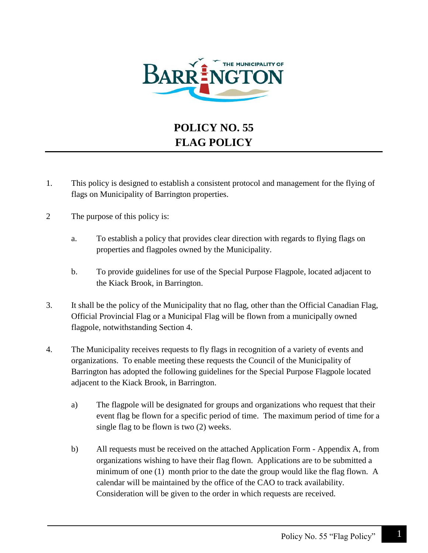

## **POLICY NO. 55 FLAG POLICY**

- 1. This policy is designed to establish a consistent protocol and management for the flying of flags on Municipality of Barrington properties.
- 2 The purpose of this policy is:
	- a. To establish a policy that provides clear direction with regards to flying flags on properties and flagpoles owned by the Municipality.
	- b. To provide guidelines for use of the Special Purpose Flagpole, located adjacent to the Kiack Brook, in Barrington.
- 3. It shall be the policy of the Municipality that no flag, other than the Official Canadian Flag, Official Provincial Flag or a Municipal Flag will be flown from a municipally owned flagpole, notwithstanding Section 4.
- 4. The Municipality receives requests to fly flags in recognition of a variety of events and organizations. To enable meeting these requests the Council of the Municipality of Barrington has adopted the following guidelines for the Special Purpose Flagpole located adjacent to the Kiack Brook, in Barrington.
	- a) The flagpole will be designated for groups and organizations who request that their event flag be flown for a specific period of time. The maximum period of time for a single flag to be flown is two (2) weeks.
	- b) All requests must be received on the attached Application Form Appendix A, from organizations wishing to have their flag flown. Applications are to be submitted a minimum of one (1) month prior to the date the group would like the flag flown. A calendar will be maintained by the office of the CAO to track availability. Consideration will be given to the order in which requests are received.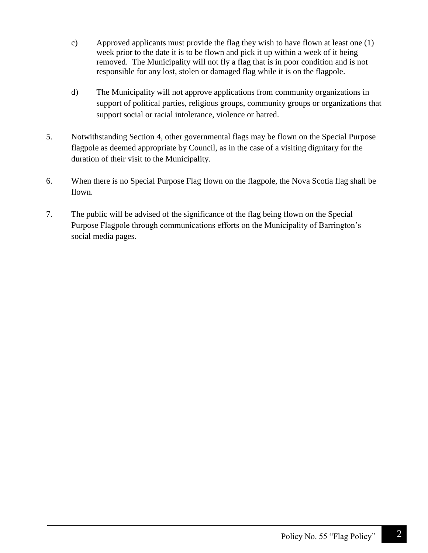- c) Approved applicants must provide the flag they wish to have flown at least one (1) week prior to the date it is to be flown and pick it up within a week of it being removed. The Municipality will not fly a flag that is in poor condition and is not responsible for any lost, stolen or damaged flag while it is on the flagpole.
- d) The Municipality will not approve applications from community organizations in support of political parties, religious groups, community groups or organizations that support social or racial intolerance, violence or hatred.
- 5. Notwithstanding Section 4, other governmental flags may be flown on the Special Purpose flagpole as deemed appropriate by Council, as in the case of a visiting dignitary for the duration of their visit to the Municipality.
- 6. When there is no Special Purpose Flag flown on the flagpole, the Nova Scotia flag shall be flown.
- 7. The public will be advised of the significance of the flag being flown on the Special Purpose Flagpole through communications efforts on the Municipality of Barrington's social media pages.